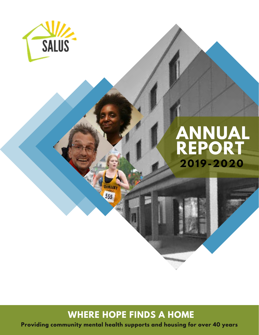

# **2019-2020 ANNUAL REPORT**

## **WHERE HOPE FINDS A HOME**

555

**Providing community mental health supports and housing for over 40 years**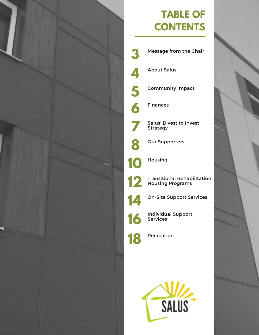

## **TABLE OF CONTENTS**



About Salus

**4**

**5**

**6**

**7**

**8**

Community Impact

Finances

Salus' Divest to Invest Strategy

Our Supporters

Housing

Transitional Rehabilitation Housing Programs

On-Site Support Services

Individual Support Services

Recreation

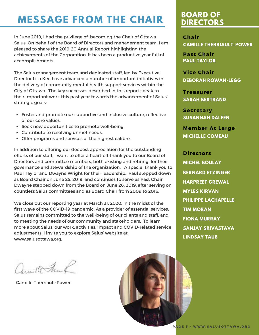## **MESSAGE FROM THE CHAIR**

In June 2019, I had the privilege of becoming the Chair of Ottawa Salus. On behalf of the Board of Directors and management team, I am pleased to share the 2019-20 Annual Report highlighting the achievements of the Corporation. It has been a productive year full of accomplishments.

The Salus management team and dedicated staff, led by Executive Director Lisa Ker, have advanced a number of important initiatives in the delivery of community mental health support services within the City of Ottawa. The key successes described in this report speak to their important work this past year towards the advancement of Salus' strategic goals:

- Foster and promote our supportive and inclusive culture, reflective of our core values.
- Seek new opportunities to promote well-being.
- Contribute to resolving unmet needs.
- Offer programs and services of the highest calibre.

In addition to offering our deepest appreciation for the outstanding efforts of our staff, I want to offer a heartfelt thank you to our Board of Directors and committee members, both existing and retiring, for their governance and stewardship of the organization. A special thank you to Paul Taylor and Dwayne Wright for their leadership. Paul stepped down as Board Chair on June 25, 2019, and continues to serve as Past Chair. Dwayne stepped down from the Board on June 26, 2019, after serving on countless Salus committees and as Board Chair from 2009 to 2016.

We close out our reporting year at March 31, 2020, in the midst of the first wave of the COVID-19 pandemic. As a provider of essential services, Salus remains committed to the well-being of our clients and staff, and to meeting the needs of our community and stakeholders. To learn more about Salus, our work, activities, impact and COVID-related service adjustments, I invite you to explore Salus' website at www.salusottawa.org.

amillo Frank

Camille Therriault-Power



### **BOARD OF DIRECTORS**

**CAMILLE THERRIAULT-POWER Chair**

**PAUL TAYLOR Past Chair**

**DEBORAH ROWAN-LEGG Vice Chair**

**SARAH BERTRAND Treasurer**

**SUSANNAH DALFEN Secretary**

**MICHELLE COMEAU Member At Large**

**Directors TIM MORAN BERNARD ETZINGER LINDSAY TAUB MICHEL BOULAY SANJAY SRIVASTAVA PHILIPPE LACHAPELLE MYLES KIRVAN HARPREET GREWAL FIONA MURRAY**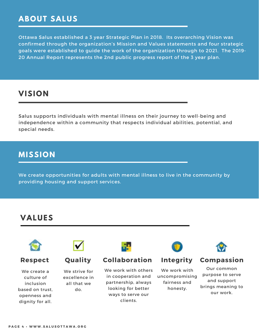### **ABOUT SALUS**

Ottawa Salus established a 3 year Strategic Plan in 2018. Its overarching Vision was confirmed through the organization's Mission and Values statements and four strategic goals were established to guide the work of the organization through to 2021. The 2019- 20 Annual Report represents the 2nd public progress report of the 3 year plan.

### **VISION**

Salus supports individuals with mental illness on their journey to well-being and independence within a community that respects individual abilities, potential, and special needs.

#### **MISSION**

We create opportunities for adults with mental illness to live in the community by providing housing and support services.

#### **VALUES**



We create a culture of inclusion based on trust, openness and dignity for all.



We strive for excellence in all that we do.



#### **Respect Quality Collaboration Integrity Compassion**

We work with others in cooperation and partnership, always looking for better ways to serve our clients.



We work with uncompromising fairness and honesty.



Our common purpose to serve and support brings meaning to our work.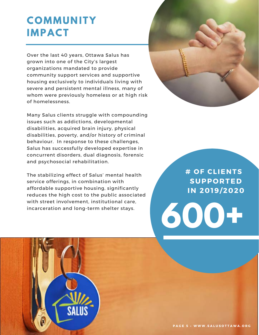## **COMMUNITY IMPACT**

Over the last 40 years, Ottawa Salus has grown into one of the City's largest organizations mandated to provide community support services and supportive housing exclusively to individuals living with severe and persistent mental illness, many of whom were previously homeless or at high risk of homelessness.

Many Salus clients struggle with compounding issues such as addictions, developmental disabilities, acquired brain injury, physical disabilities, poverty, and/or history of criminal behaviour. In response to these challenges, Salus has successfully developed expertise in concurrent disorders, dual diagnosis, forensic and psychosocial rehabilitation.

The stabilizing effect of Salus' mental health service offerings, in combination with affordable supportive housing, significantly reduces the high cost to the public associated with street involvement, institutional care, incarceration and long-term shelter stays.

**# O F C L I E N T S S U P P O R T E D I N 2 0 1 9 / 2 0 2 0**

**600+**

**P A G E 5 • W W W . S A L U S O T T A W A . O R G**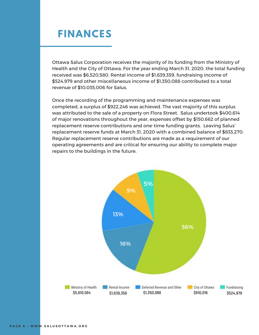## **FINANCES**

Ottawa Salus Corporation receives the majority of its funding from the Ministry of Health and the City of Ottawa. For the year ending March 31, 2020, the total funding received was \$6,520,580. Rental income of \$1,639,359, fundraising income of \$524,979 and other miscellaneous income of \$1,350,088 contributed to a total revenue of \$10,035,006 for Salus.

Once the recording of the programming and maintenance expenses was completed, a surplus of \$922,246 was achieved. The vast majority of this surplus was attributed to the sale of a property on Flora Street. Salus undertook \$400,614 of major renovations throughout the year, expenses offset by \$150,662 of planned replacement reserve contributions and one-time funding grants. Leaving Salus' replacement reserve funds at March 31, 2020 with a combined balance of \$833,270. Regular replacement reserve contributions are made as a requirement of our operating agreements and are critical for ensuring our ability to complete major repairs to the buildings in the future.

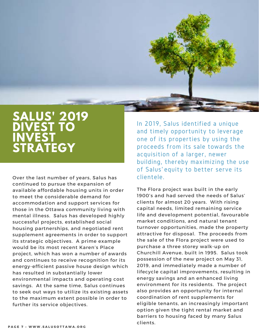

## **SALUS' 2019 DIVEST TO INVEST STRATEGY**

Over the last number of years, Salus has continued to pursue the expansion of available affordable housing units in order to meet the considerable demand for accommodation and support services for those in the Ottawa community living with mental illness. Salus has developed highly successful projects, established social housing partnerships, and negotiated rent supplement agreements in order to support its strategic objectives. A prime example would be its most recent Karen's Place project, which has won a number of awards and continues to receive recognition for its energy-efficient passive house design which has resulted in substantially lower environmental impacts and operating cost savings. At the same time, Salus continues to seek out ways to utilize its existing assets to the maximum extent possible in order to further its service objectives.

In 2019, Salus identified a unique and timely opportunity to leverage one of its properties by using the proceeds from its sale towards the acquisition of a larger, newer building, thereby maximizing the use of Salus' equity to better serve its clientele.

The Flora project was built in the early 1900's and had served the needs of Salus' clients for almost 20 years. With rising capital needs, limited remaining service life and development potential, favourable market conditions, and natural tenant turnover opportunities, made the property attractive for disposal. The proceeds from the sale of the Flora project were used to purchase a three storey walk-up on Churchill Avenue, built in 1995. Salus took possession of the new project on May 31, 2019, and immediately made a number of lifecycle capital improvements, resulting in energy savings and an enhanced living environment for its residents. The project also provides an opportunity for internal coordination of rent supplements for eligible tenants, an increasingly important option given the tight rental market and barriers to housing faced by many Salus clients.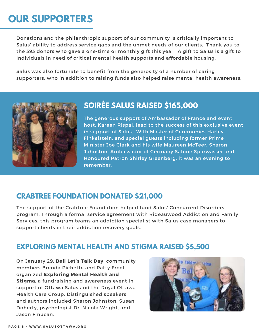## **OUR SUPPORTERS**

Donations and the philanthropic support of our community is critically important to Salus' ability to address service gaps and the unmet needs of our clients. Thank you to the 393 donors who gave a one-time or monthly gift this year. A gift to Salus is a gift to individuals in need of critical mental health supports and affordable housing.

Salus was also fortunate to benefit from the generosity of a number of caring supporters, who in addition to raising funds also helped raise mental health awareness.



## **SOIRÉE SALUS RAISED \$165,000**

The generous support of Ambassador of France and event host, Kareen Rispal, lead to the success of this exclusive event in support of Salus. With Master of Ceremonies Harley Finkelstein, and special guests including former Prime Minister Joe Clark and his wife Maureen McTeer, Sharon Johnston, Ambassador of Germany Sabine Sparwasser and Honoured Patron Shirley Greenberg, it was an evening to remember.

### **CRABTREE FOUNDATION DONATED \$21,000**

The support of the Crabtree Foundation helped fund Salus' Concurrent Disorders program. Through a formal service agreement with Rideauwood Addiction and Family Services, this program teams an addiction specialist with Salus case managers to support clients in their addiction recovery goals.

### **EXPLORING MENTAL HEALTH AND STIGMA RAISED \$5,500**

On January 29, **Bell Let's Talk Day**, community members Brenda Pichette and Patty Freel organized **Exploring Mental Health and Stigma**, a fundraising and awareness event in support of Ottawa Salus and the Royal Ottawa Health Care Group. Distinguished speakers and authors included Sharon Johnston, Susan Doherty, psychologist Dr. Nicola Wright, and Jason Finucan.

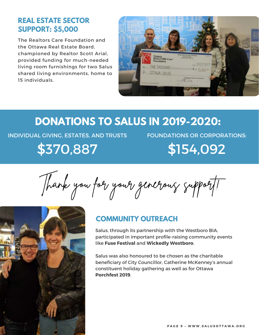#### **REAL ESTATE SECTOR SUPPORT: \$5,000**

The Realtors Care Foundation and the Ottawa Real Estate Board, championed by Realtor Scott Arial, provided funding for much-needed living room furnishings for two Salus shared living environments, home to 15 individuals.



## **DONATIONS TO SALUS IN 2019-2020:**

INDIVIDUAL GIVING, ESTATES, AND TRUSTS \$370,887

FOUNDATIONS OR CORPORATIONS: \$154,092

Thank you for your generous support!



#### **COMMUNITY OUTREACH**

Salus, through its partnership with the Westboro BIA, participated in important profile-raising community events like **Fuse Festival** and **Wickedly Westboro**.

Salus was also honoured to be chosen as the charitable beneficiary of City Councillor, Catherine McKenney's annual constituent holiday gathering as well as for Ottawa **Porchfest 2019**.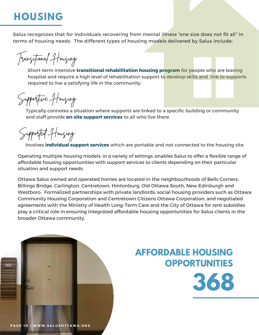## **HOUSING**

Salus recognizes that for individuals recovering from mental illness "one size does not fit all" in terms of housing needs. The different types of housing models delivered by Salus include:

Transitional Housing

Short-term intensive **transitional rehabilitation housing program** for people who are leaving hospital and require a high level of rehabilitation support to develop skills and link to supports required to live a satisfying life in the community.

Supportive Housing

Typically connotes a situation where supports are linked to a specific building or community and staff provide **on-site support services** to all who live there.

Supported Housing

Involves **individual support services** which are portable and not connected to the housing site.

Operating multiple housing models, in a variety of settings, enables Salus to offer a flexible range of affordable housing opportunities with support services to clients depending on their particular situation and support needs.

Ottawa Salus owned and operated homes are located in the neighbourhoods of Bells Corners, Billings Bridge, Carlington, Centretown, Hintonburg, Old Ottawa South, New Edinburgh and Westboro. Formalized partnerships with private landlords, social housing providers such as Ottawa Community Housing Corporation and Centretown Citizens Ottawa Corporation, and negotiated agreements with the Ministry of Health Long-Term Care and the City of Ottawa for rent subsidies play a critical role in ensuring integrated affordable housing opportunities for Salus clients in the broader Ottawa community.



## **AFFORDABLE HOUSING OPPORTUNITIES**

**368**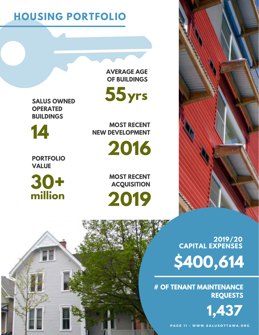PAGE 11 · WWW.SALUSOTTAWA.ORG

**1,437**

**# OF TENANT MAINTENANCE REQUESTS**

**\$400,614**

**2019/20 CAPITAL EXPENSES**

**30+ million**

**PORTFOLIO VALUE**

**14**

**SALUS OWNED OPERATED BUILDINGS**

> **MOST RECENT ACQUISITION**

**2019**

**THE REAL PROPERTY** 

**2016**

**MOST RECENT NEW DEVELOPMENT**

**AVERAGE AGE OF BUILDINGS**

**55 yrs**

**HOUSING PORTFOLIO**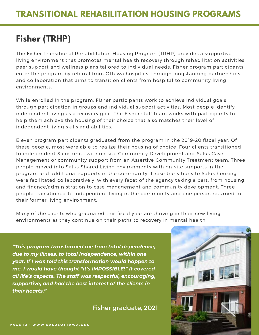## **Fisher (TRHP)**

The Fisher Transitional Rehabilitation Housing Program (TRHP) provides a supportive living environment that promotes mental health recovery through rehabilitation activities, peer support and wellness plans tailored to individual needs. Fisher program participants enter the program by referral from Ottawa hospitals, through longstanding partnerships and collaboration that aims to transition clients from hospital to community living environments.

While enrolled in the program, Fisher participants work to achieve individual goals through participation in groups and individual support activities. Most people identify independent living as a recovery goal. The Fisher staff team works with participants to help them achieve the housing of their choice that also matches their level of independent living skills and abilities.

Eleven program participants graduated from the program in the 2019-20 fiscal year. Of these people, most were able to realize their housing of choice. Four clients transitioned to independent Salus units with on-site Community Development and Salus Case Management or community support from an Assertive Community Treatment team. Three people moved into Salus Shared Living environments with on-site supports in the program and additional supports in the community. These transitions to Salus housing were facilitated collaboratively, with every facet of the agency taking a part, from housing and finance/administration to case management and community development. Three people transitioned to independent living in the community and one person returned to their former living environment.

Many of the clients who graduated this fiscal year are thriving in their new living environments as they continue on their paths to recovery in mental health.

*"This program transformed me from total dependence, due to my illness, to total independence, within one year. If I was told this transformation would happen to me, I would have thought "it's IMPOSSIBLE!" It covered all life's aspects. The staff was respectful, encouraging, supportive, and had the best interest of the clients in their hearts."*

Fisher graduate, 2021

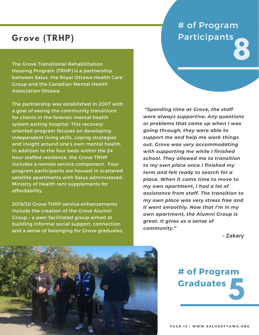## **Grove (TRHP)**

The Grove Transitional Rehabilitation Housing Program (TRHP) is a partnership between Salus, the Royal Ottawa Health Care Group and the Canadian Mental Health Association Ottawa.

The partnership was established in 2007 with a goal of easing the community transitions for clients in the forensic mental health system exiting hospital. This recoveryoriented program focuses on developing independent living skills, coping strategies and insight around one's own mental health. In addition to the four beds within the 24 hour staffed residence, the Grove TRHP includes a remote service component. Four program participants are housed in scattered satellite apartments with Salus administered; Ministry of Health rent supplements for affordability.

2019/20 Grove THRP service enhancements include the creation of the Grove Alumni Group – a peer facilitated group aimed at building informal social support, connection and a sense of belonging for Grove graduates.

# # of Program Participants **8**

*"Spending time at Grove, the staff were always supportive. Any questions or problems that came up when I was going through, they were able to support me and help me work things out. Grove was very accommodating with supporting me while I finished school. They allowed me to transition to my own place once I finished my term and felt ready to search for a place. When it came time to move to my own apartment, I had a lot of assistance from staff. The transition to my own place was very stress free and it went smoothly. Now that I'm in my own apartment, the Alumni Group is great. It gives us a sense of community."*

– Zakary



**5 # of Program Graduates**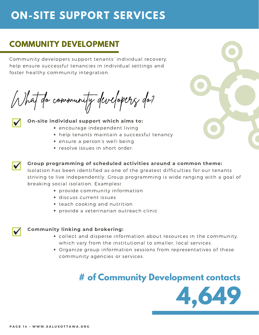## **ON-SITE SUPPORT SERVICES**

## **COMMUNITY DEVELOPMENT**

Community developers support tenants' individual recovery, help ensure successful tenancies in individual settings and foster healthy community integration.

What do community developers do?



#### **On-site individual support which aims to:**

- encourage independent living
- help tenants maintain a successful tenancy
- ensure a person's well-being
- resolve issues in short order.





#### **Group programming of scheduled activities around a common theme:**

Isolation has been identified as one of the greatest difficulties for our tenants striving to live independently. Group programming is wide ranging with a goal of breaking social isolation. Examples**:**

- provide community information
- discuss current issues
- teach cooking and nutrition
- provide a veterinarian outreach clinic



#### **Community linking and brokering:**

- collect and disperse information about resources in the community, which vary from the institutional to smaller, local services.
- Organize group information sessions from representatives of these community agencies or services.

## **# of Community Development contacts**

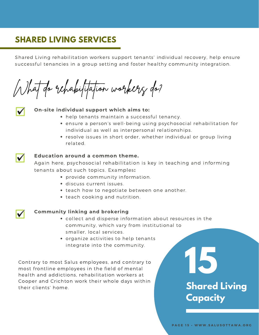## **SHARED LIVING SERVICES**

Shared Living rehabilitation workers support tenants' individual recovery, help ensure successful tenancies in a group setting and foster healthy community integration.

What do rehabilitation workers do?



#### **On-site individual support which aims to:**

- help tenants maintain a successful tenancy.
- ensure a person's well-being using psychosocial rehabilitation for individual as well as interpersonal relationships.
- resolve issues in short order, whether individual or group living related.



#### **Education around a common theme.**

Again here, psychosocial rehabilitation is key in teaching and informing tenants about such topics. Examples**:**

- provide community information.
- discuss current issues.
- teach how to negotiate between one another.
- teach cooking and nutrition.

#### **Community linking and brokering**

- collect and disperse information about resources in the community, which vary from institutional to smaller, local services.
	- organize activities to help tenants integrate into the community.

Contrary to most Salus employees, and contrary to most frontline employees in the field of mental health and addictions, rehabilitation workers at Cooper and Crichton work their whole days within their clients' home.

# **Shared Living Capacity**

**15**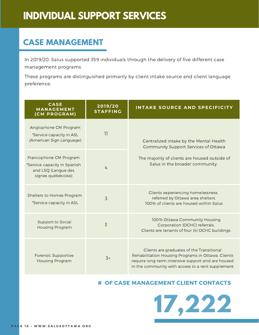## **INDIVIDUAL SUPPORT SERVICES**

## **CASE MANAGEMENT**

In 2019/20, Salus supported 359 individuals through the delivery of five different case management programs.

These programs are distinguished primarily by client intake source and client language preference.

| <b>CASE</b><br><b>MANAGEMENT</b><br>(CM PROGRAM)                                                    | 2019/20<br><b>STAFFING</b> | INTAKE SOURCE AND SPECIFICITY                                                                                                                                                                              |
|-----------------------------------------------------------------------------------------------------|----------------------------|------------------------------------------------------------------------------------------------------------------------------------------------------------------------------------------------------------|
| Anglophone CM Program<br>*Service capacity in ASL<br>(American Sign Language)                       | 11                         | Centralized intake by the Mental Health<br>Community Support Services of Ottawa<br>The majority of clients are housed outside of<br>Salus in the broader community.                                        |
| Francophone CM Program<br>*Service capacity in Spanish<br>and LSQ (Langue des<br>signes québécoise) | 4                          |                                                                                                                                                                                                            |
| Shelters to Homes Program<br>*Service capacity in ASL                                               | 3                          | Clients experiencing homelessness;<br>referred by Ottawa area shelters.<br>100% of clients are housed within Salus                                                                                         |
| Support to Social<br><b>Housing Program</b>                                                         | 3                          | 100% Ottawa Community Housing<br>Corporation (OCHC) referrals.<br>Clients are tenants of four (4) OCHC buildings.                                                                                          |
| Forensic Supportive<br><b>Housing Program</b>                                                       | $3+$                       | Clients are graduates of the Transitional<br>Rehabilitation Housing Programs in Ottawa. Clients<br>require long-term intensive support and are housed<br>in the community with access to a rent supplement |

#### **# OF CASE MANAGEMENT CLIENT CONTACTS**

**17,222**

**PAGE 16 · WWW.SALUSOTTAWA.ORG**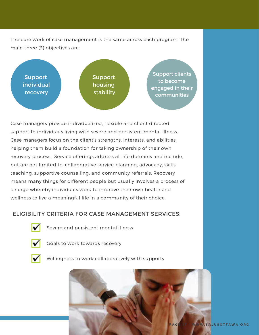The core work of case management is the same across each program. The main three (3) objectives are:



Case managers provide individualized, flexible and client directed support to individuals living with severe and persistent mental illness. Case managers focus on the client's strengths, interests, and abilities, helping them build a foundation for taking ownership of their own recovery process. Service offerings address all life domains and include, but are not limited to, collaborative service planning, advocacy, skills teaching, supportive counselling, and community referrals. Recovery means many things for different people but usually involves a process of change whereby individuals work to improve their own health and wellness to live a meaningful life in a community of their choice.

#### ELIGIBILITY CRITERIA FOR CASE MANAGEMENT SERVICES:



Severe and persistent mental illness



Goals to work towards recovery



Willingness to work collaboratively with supports

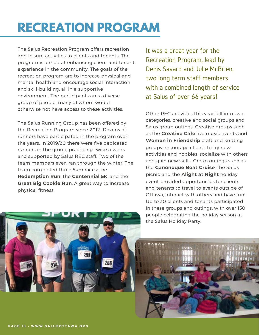# **RECREATION PROGRAM**

The Salus Recreation Program offers recreation and leisure activities to clients and tenants. The program is aimed at enhancing client and tenant experience in the community. The goals of the recreation program are to increase physical and mental health and encourage social interaction and skill-building, all in a supportive environment. The participants are a diverse group of people, many of whom would otherwise not have access to these activities.

The Salus Running Group has been offered by the Recreation Program since 2012. Dozens of runners have participated in the program over the years. In 2019/20 there were five dedicated runners in the group, practicing twice a week and supported by Salus REC staff. Two of the team members even ran through the winter! The team completed three 5km races: the **Redemption Run**, the **Centennial 5K**, and the **Great Big Cookie Run**. A great way to increase physical fitness!

266

It was a great year for the Recreation Program, lead by Denis Savard and Julie McBrien, two long term staff members with a combined length of service at Salus of over 66 years!

Other REC activities this year fall into two categories, creative and social groups and Salus group outings. Creative groups such as the **Creative Cafe** live music events and **Women in Friendship** craft and knitting groups encourage clients to try new activities and hobbies, socialize with others and gain new skills. Group outings such as the **Ganonoque Boat Cruise**, the Salus picnic and the **Alight at Night** holiday event provided opportunities for clients and tenants to travel to events outside of Ottawa, interact with others and have fun! Up to 30 clients and tenants participated in these groups and outings, with over 150 people celebrating the holiday season at the Salus Holiday Party.



PAGE 18 · WWW.SALUSOTTAWA.ORG